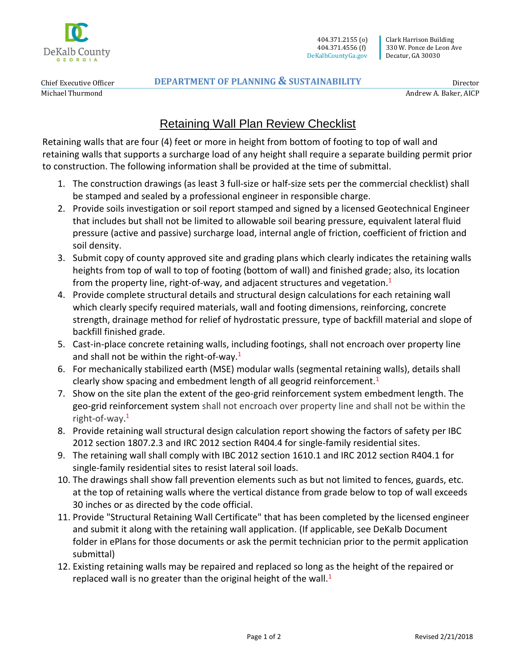

Chief Executive Officer Michael Thurmond

**DEPARTMENT OF PLANNING & SUSTAINABILITY**

Director Andrew A. Baker, AICP

## Retaining Wall Plan Review Checklist

Retaining walls that are four (4) feet or more in height from bottom of footing to top of wall and retaining walls that supports a surcharge load of any height shall require a separate building permit prior to construction. The following information shall be provided at the time of submittal.

- 1. The construction drawings (as least 3 full-size or half-size sets per the commercial checklist) shall be stamped and sealed by a professional engineer in responsible charge.
- 2. Provide soils investigation or soil report stamped and signed by a licensed Geotechnical Engineer that includes but shall not be limited to allowable soil bearing pressure, equivalent lateral fluid pressure (active and passive) surcharge load, internal angle of friction, coefficient of friction and soil density.
- 3. Submit copy of county approved site and grading plans which clearly indicates the retaining walls heights from top of wall to top of footing (bottom of wall) and finished grade; also, its location from the property line, right-of-way, and adjacent structures and vegetation.<sup>1</sup>
- 4. Provide complete structural details and structural design calculations for each retaining wall which clearly specify required materials, wall and footing dimensions, reinforcing, concrete strength, drainage method for relief of hydrostatic pressure, type of backfill material and slope of backfill finished grade.
- 5. Cast-in-place concrete retaining walls, including footings, shall not encroach over property line and shall not be within the right-of-way.<sup>1</sup>
- 6. For mechanically stabilized earth (MSE) modular walls (segmental retaining walls), details shall clearly show spacing and embedment length of all geogrid reinforcement.<sup>1</sup>
- 7. Show on the site plan the extent of the geo-grid reinforcement system embedment length. The geo-grid reinforcement system shall not encroach over property line and shall not be within the right-of-way. 1
- 8. Provide retaining wall structural design calculation report showing the factors of safety per IBC 2012 section 1807.2.3 and IRC 2012 section R404.4 for single-family residential sites.
- 9. The retaining wall shall comply with IBC 2012 section 1610.1 and IRC 2012 section R404.1 for single-family residential sites to resist lateral soil loads.
- 10. The drawings shall show fall prevention elements such as but not limited to fences, guards, etc. at the top of retaining walls where the vertical distance from grade below to top of wall exceeds 30 inches or as directed by the code official.
- 11. Provide "Structural Retaining Wall Certificate" that has been completed by the licensed engineer and submit it along with the retaining wall application. (If applicable, see DeKalb Document folder in ePlans for those documents or ask the permit technician prior to the permit application submittal)
- 12. Existing retaining walls may be repaired and replaced so long as the height of the repaired or replaced wall is no greater than the original height of the wall. $<sup>1</sup>$ </sup>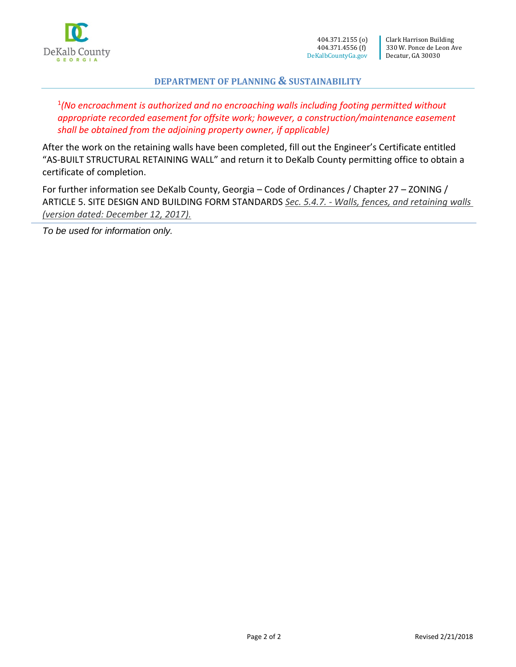

#### **DEPARTMENT OF PLANNING & SUSTAINABILITY**

<sup>1</sup>(No encroachment is authorized and no encroaching walls including footing permitted without *appropriate recorded easement for offsite work; however, a construction/maintenance easement shall be obtained from the adjoining property owner, if applicable)*

After the work on the retaining walls have been completed, fill out the Engineer's Certificate entitled "AS-BUILT STRUCTURAL RETAINING WALL" and return it to DeKalb County permitting office to obtain a certificate of completion.

For further information see DeKalb County, Georgia – Code of Ordinances / Chapter 27 – ZONING / ARTICLE 5. SITE DESIGN AND BUILDING FORM STANDARDS *Sec. 5.4.7. - Walls, fences, and retaining walls (version dated: December 12, 2017).*

*To be used for information only.*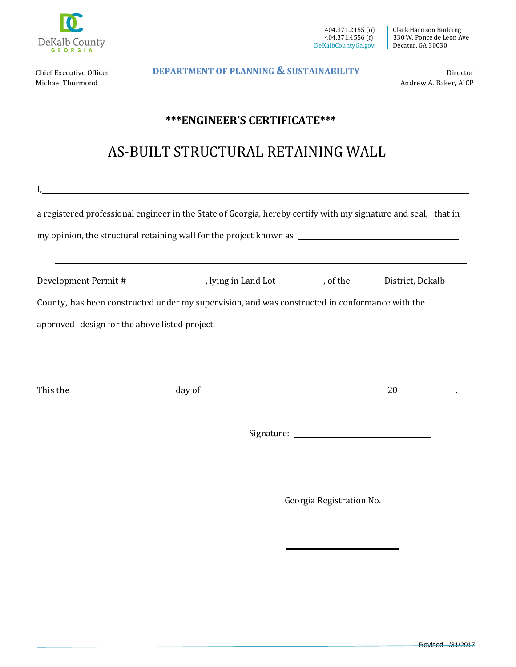

 404.371.2155 (o) 404.371.4556 (f) DeKalbCountyGa.gov

Clark Harrison Building 330 W. Ponce de Leon Ave **Decatur, GA 30030** 

Chief Executive Officer Michael Thurmond

**DEPARTMENT OF PLANNING & SUSTAINABILITY**

Director Andrew A. Baker, AICP

#### **\*\*\*ENGINEER'S CERTIFICATE\*\*\***

# AS-BUILT STRUCTURAL RETAINING WALL

I,

a registered professional engineer in the State of Georgia, hereby certify with my signature and seal, that in my opinion, the structural retaining wall for the project known as Development Permit  $\frac{\#}{\#}$  , lying in Land Lot , of the District, Dekalb County, has been constructed under my supervision, and was constructed in conformance with the approved design for the above listed project.

This the day of the day of the day of the day of the day of the day of the day of the day of the day of the day of the day of the day of the day of the day of the day of the day of the day of the day of the day of the day

Signature:

Georgia Registration No.